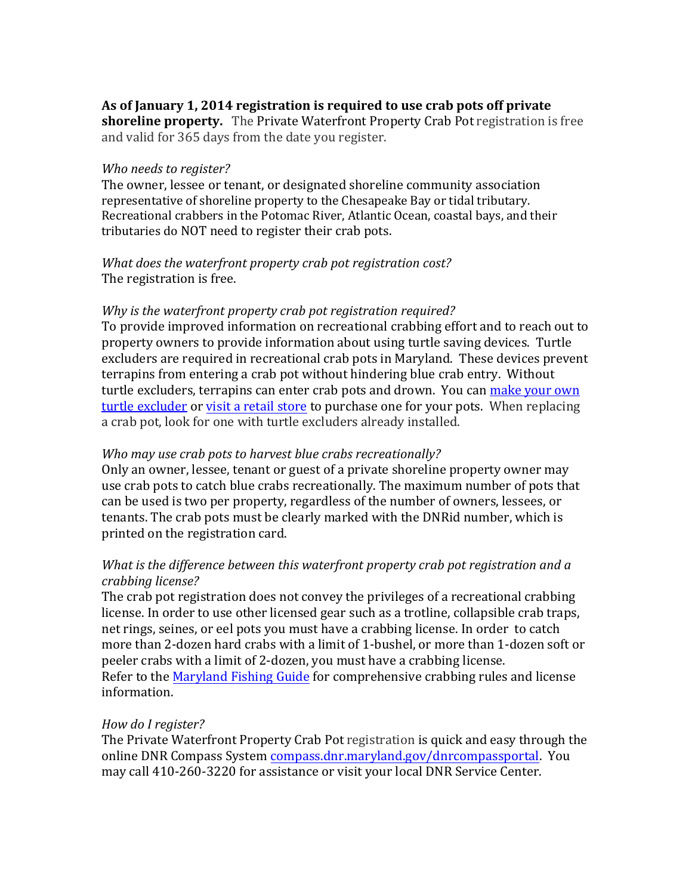## **As of January 1, 2014 registration is required to use crab pots off private**

**shoreline property.** The Private Waterfront Property Crab Pot registration is free and valid for 365 days from the date you register.

#### *Who needs to register?*

The owner, lessee or tenant, or designated shoreline community association representative of shoreline property to the Chesapeake Bay or tidal tributary. Recreational crabbers in the Potomac River, Atlantic Ocean, coastal bays, and their tributaries do NOT need to register their crab pots.

### *What does the waterfront property crab pot registration cost?* The registration is free.

### *Why is the waterfront property crab pot registration required?*

To provide improved information on recreational crabbing effort and to reach out to property owners to provide information about using turtle saving devices. Turtle excluders are required in recreational crab pots in Maryland. These devices prevent terrapins from entering a crab pot without hindering blue crab entry. Without [turtle excluders](https://dnr.maryland.gov/fisheries/Pages/regulations/crabpot.aspx), t[errapins can enter](https://dnr.maryland.gov/fisheries/Documents/flyer_stores.pdf) crab pots and drown. You can make your own turtle excluder or visit a retail store to purchase one for your pots. When replacing a crab pot, look for one with turtle excluders already installed.

### *Who may use crab pots to harvest blue crabs recreationally?*

Only an owner, lessee, tenant or guest of a private shoreline property owner may use crab pots to catch blue crabs recreationally. The maximum number of pots that can be used is two per property, regardless of the number of owners, lessees, or tenants. The crab pots must be clearly marked with the DNRid number, which is printed on the registration card.

# *What is the difference between this waterfront property crab pot registration and a crabbing license?*

The crab pot registration does not convey the privileges of a recreational crabbing license. In order to use other licensed gear such as a trotline, collapsible crab traps, net rings, seines, or eel pots you must have a crabbing license. In order to catch more than 2‐dozen hard crabs with a limit of 1‐bushel, or more than 1‐dozen soft or peeler crabs with a limit of 2‐dozen, you must have a crabbing license. Refer to the [Maryland Fishing Guide](http://www.eregulations.com/maryland/fishing/recreational-crab-licenses-crab-pot-registration/) for comprehensive crabbing rules and license information.

### *How do I register?*

The Private Waterfront Property Crab Pot registration is quick and easy through the online DNR Compass System [compass.dnr.maryland.gov/dnrcompassportal. You](https://compass.dnr.maryland.gov/dnrcompassportal)  may call 410‐260‐3220 for assistance or visit your local DNR Service Center.